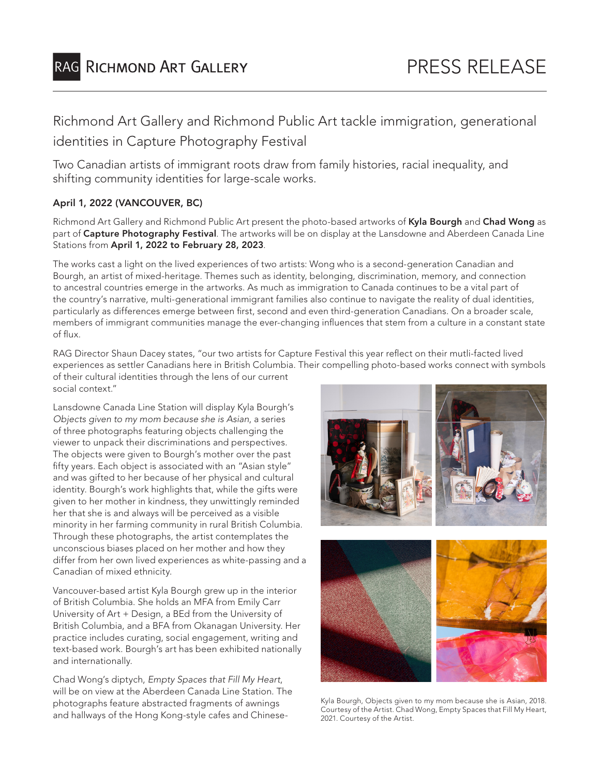# RAG RICHMOND ART GALLERY

# Richmond Art Gallery and Richmond Public Art tackle immigration, generational identities in Capture Photography Festival

Two Canadian artists of immigrant roots draw from family histories, racial inequality, and shifting community identities for large-scale works.

## April 1, 2022 (VANCOUVER, BC)

Richmond Art Gallery and Richmond Public Art present the photo-based artworks of Kyla Bourgh and Chad Wong as part of Capture Photography Festival. The artworks will be on display at the Lansdowne and Aberdeen Canada Line Stations from April 1, 2022 to February 28, 2023.

The works cast a light on the lived experiences of two artists: Wong who is a second-generation Canadian and Bourgh, an artist of mixed-heritage. Themes such as identity, belonging, discrimination, memory, and connection to ancestral countries emerge in the artworks. As much as immigration to Canada continues to be a vital part of the country's narrative, multi-generational immigrant families also continue to navigate the reality of dual identities, particularly as differences emerge between first, second and even third-generation Canadians. On a broader scale, members of immigrant communities manage the ever-changing influences that stem from a culture in a constant state of flux.

RAG Director Shaun Dacey states, "our two artists for Capture Festival this year reflect on their mutli-facted lived experiences as settler Canadians here in British Columbia. Their compelling photo-based works connect with symbols of their cultural identities through the lens of our current social context."

Lansdowne Canada Line Station will display Kyla Bourgh's *Objects given to my mom because she is Asian*, a series of three photographs featuring objects challenging the viewer to unpack their discriminations and perspectives. The objects were given to Bourgh's mother over the past fifty years. Each object is associated with an "Asian style" and was gifted to her because of her physical and cultural identity. Bourgh's work highlights that, while the gifts were given to her mother in kindness, they unwittingly reminded her that she is and always will be perceived as a visible minority in her farming community in rural British Columbia. Through these photographs, the artist contemplates the unconscious biases placed on her mother and how they differ from her own lived experiences as white-passing and a Canadian of mixed ethnicity.

Vancouver-based artist Kyla Bourgh grew up in the interior of British Columbia. She holds an MFA from Emily Carr University of Art + Design, a BEd from the University of British Columbia, and a BFA from Okanagan University. Her practice includes curating, social engagement, writing and text-based work. Bourgh's art has been exhibited nationally and internationally.

Chad Wong's diptych, *Empty Spaces that Fill My Heart*, will be on view at the Aberdeen Canada Line Station. The photographs feature abstracted fragments of awnings and hallways of the Hong Kong-style cafes and Chinese-



Kyla Bourgh, Objects given to my mom because she is Asian, 2018. Courtesy of the Artist. Chad Wong, Empty Spaces that Fill My Heart, 2021. Courtesy of the Artist.